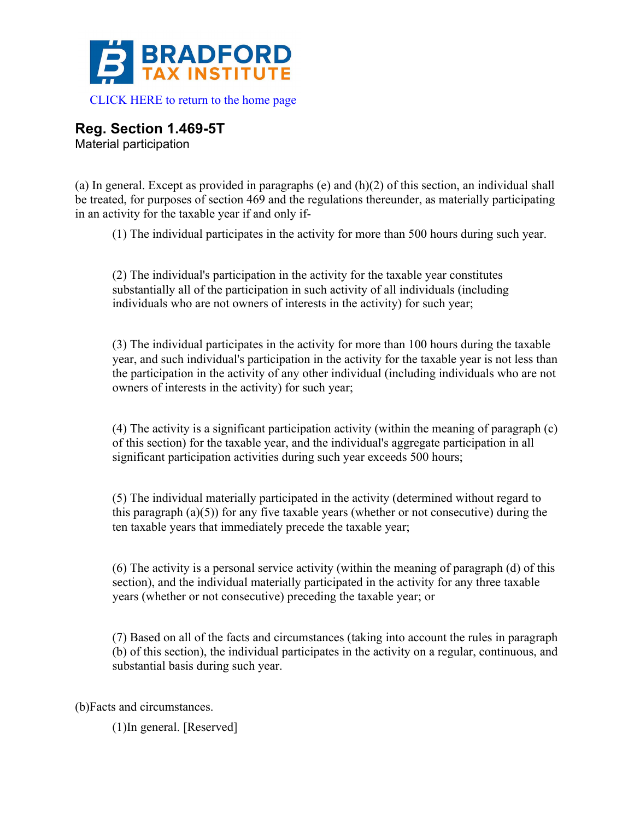

**Reg. Section 1.469-5T**

Material participation

(a) In general. Except as provided in paragraphs (e) and (h)(2) of this section, an individual shall be treated, for purposes of section 469 and the regulations thereunder, as materially participating in an activity for the taxable year if and only if-

(1) The individual participates in the activity for more than 500 hours during such year.

(2) The individual's participation in the activity for the taxable year constitutes substantially all of the participation in such activity of all individuals (including individuals who are not owners of interests in the activity) for such year;

(3) The individual participates in the activity for more than 100 hours during the taxable year, and such individual's participation in the activity for the taxable year is not less than the participation in the activity of any other individual (including individuals who are not owners of interests in the activity) for such year;

(4) The activity is a significant participation activity (within the meaning of paragraph (c) of this section) for the taxable year, and the individual's aggregate participation in all significant participation activities during such year exceeds 500 hours;

(5) The individual materially participated in the activity (determined without regard to this paragraph  $(a)(5)$  for any five taxable years (whether or not consecutive) during the ten taxable years that immediately precede the taxable year;

(6) The activity is a personal service activity (within the meaning of paragraph (d) of this section), and the individual materially participated in the activity for any three taxable years (whether or not consecutive) preceding the taxable year; or

(7) Based on all of the facts and circumstances (taking into account the rules in paragraph (b) of this section), the individual participates in the activity on a regular, continuous, and substantial basis during such year.

(b)Facts and circumstances.

(1)In general. [Reserved]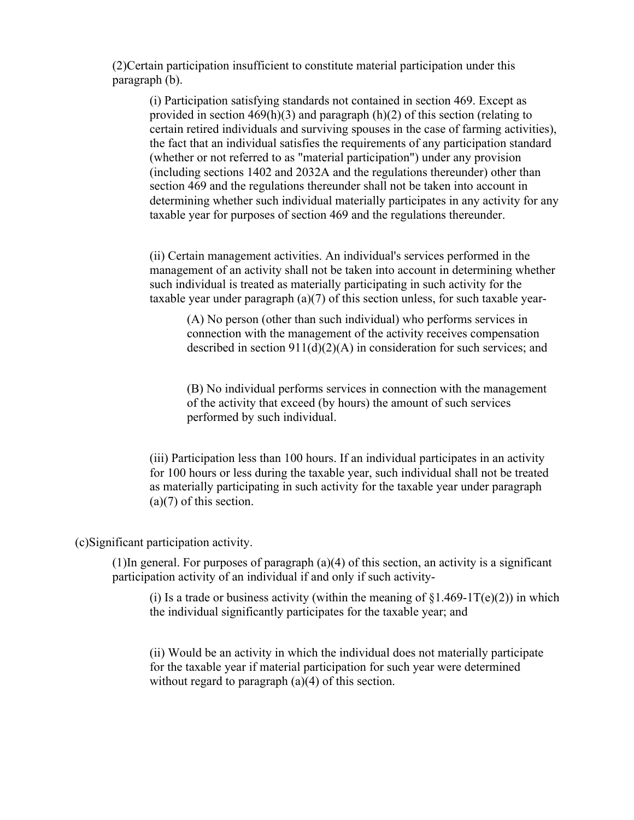(2)Certain participation insufficient to constitute material participation under this paragraph (b).

(i) Participation satisfying standards not contained in section 469. Except as provided in section 469(h)(3) and paragraph (h)(2) of this section (relating to certain retired individuals and surviving spouses in the case of farming activities), the fact that an individual satisfies the requirements of any participation standard (whether or not referred to as "material participation") under any provision (including sections 1402 and 2032A and the regulations thereunder) other than section 469 and the regulations thereunder shall not be taken into account in determining whether such individual materially participates in any activity for any taxable year for purposes of section 469 and the regulations thereunder.

(ii) Certain management activities. An individual's services performed in the management of an activity shall not be taken into account in determining whether such individual is treated as materially participating in such activity for the taxable year under paragraph (a)(7) of this section unless, for such taxable year-

(A) No person (other than such individual) who performs services in connection with the management of the activity receives compensation described in section 911(d)(2)(A) in consideration for such services; and

(B) No individual performs services in connection with the management of the activity that exceed (by hours) the amount of such services performed by such individual.

(iii) Participation less than 100 hours. If an individual participates in an activity for 100 hours or less during the taxable year, such individual shall not be treated as materially participating in such activity for the taxable year under paragraph (a)(7) of this section.

(c)Significant participation activity.

(1)In general. For purposes of paragraph (a)(4) of this section, an activity is a significant participation activity of an individual if and only if such activity-

(i) Is a trade or business activity (within the meaning of  $\S1.469-1T(e)(2)$ ) in which the individual significantly participates for the taxable year; and

(ii) Would be an activity in which the individual does not materially participate for the taxable year if material participation for such year were determined without regard to paragraph (a)(4) of this section.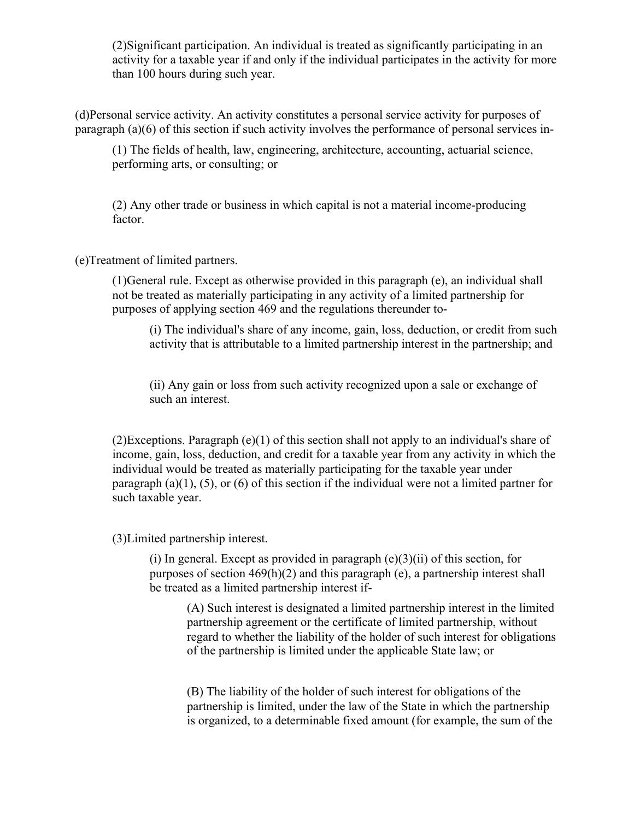(2)Significant participation. An individual is treated as significantly participating in an activity for a taxable year if and only if the individual participates in the activity for more than 100 hours during such year.

(d)Personal service activity. An activity constitutes a personal service activity for purposes of paragraph (a)(6) of this section if such activity involves the performance of personal services in-

(1) The fields of health, law, engineering, architecture, accounting, actuarial science, performing arts, or consulting; or

(2) Any other trade or business in which capital is not a material income-producing factor.

(e)Treatment of limited partners.

(1)General rule. Except as otherwise provided in this paragraph (e), an individual shall not be treated as materially participating in any activity of a limited partnership for purposes of applying section 469 and the regulations thereunder to-

(i) The individual's share of any income, gain, loss, deduction, or credit from such activity that is attributable to a limited partnership interest in the partnership; and

(ii) Any gain or loss from such activity recognized upon a sale or exchange of such an interest.

(2)Exceptions. Paragraph (e)(1) of this section shall not apply to an individual's share of income, gain, loss, deduction, and credit for a taxable year from any activity in which the individual would be treated as materially participating for the taxable year under paragraph (a)(1), (5), or (6) of this section if the individual were not a limited partner for such taxable year.

(3)Limited partnership interest.

(i) In general. Except as provided in paragraph  $(e)(3)(ii)$  of this section, for purposes of section 469(h)(2) and this paragraph (e), a partnership interest shall be treated as a limited partnership interest if-

(A) Such interest is designated a limited partnership interest in the limited partnership agreement or the certificate of limited partnership, without regard to whether the liability of the holder of such interest for obligations of the partnership is limited under the applicable State law; or

(B) The liability of the holder of such interest for obligations of the partnership is limited, under the law of the State in which the partnership is organized, to a determinable fixed amount (for example, the sum of the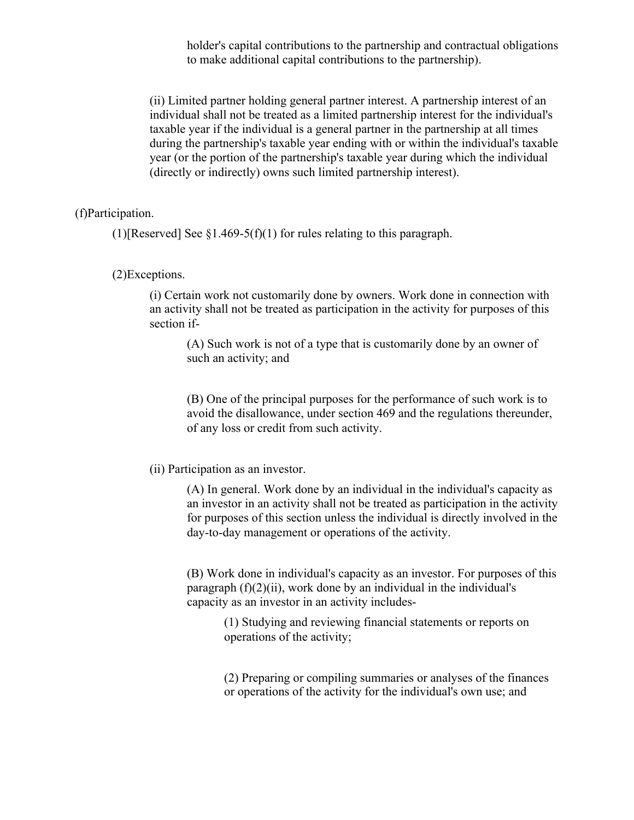holder's capital contributions to the partnership and contractual obligations to make additional capital contributions to the partnership).

(ii) Limited partner holding general partner interest. A partnership interest of an individual shall not be treated as a limited partnership interest for the individual's taxable year if the individual is a general partner in the partnership at all times during the partnership's taxable year ending with or within the individual's taxable year (or the portion of the partnership's taxable year during which the individual (directly or indirectly) owns such limited partnership interest).

(f)Participation.

(1)[Reserved] See  $\S1.469-5(f)(1)$  for rules relating to this paragraph.

(2)Exceptions.

(i) Certain work not customarily done by owners. Work done in connection with an activity shall not be treated as participation in the activity for purposes of this section if-

(A) Such work is not of a type that is customarily done by an owner of such an activity; and

(B) One of the principal purposes for the performance of such work is to avoid the disallowance, under section 469 and the regulations thereunder, of any loss or credit from such activity.

(ii) Participation as an investor.

(A) In general. Work done by an individual in the individual's capacity as an investor in an activity shall not be treated as participation in the activity for purposes of this section unless the individual is directly involved in the day-to-day management or operations of the activity.

(B) Work done in individual's capacity as an investor. For purposes of this paragraph  $(f)(2)(ii)$ , work done by an individual in the individual's capacity as an investor in an activity includes-

> (1) Studying and reviewing financial statements or reports on operations of the activity;

(2) Preparing or compiling summaries or analyses of the finances or operations of the activity for the individual's own use; and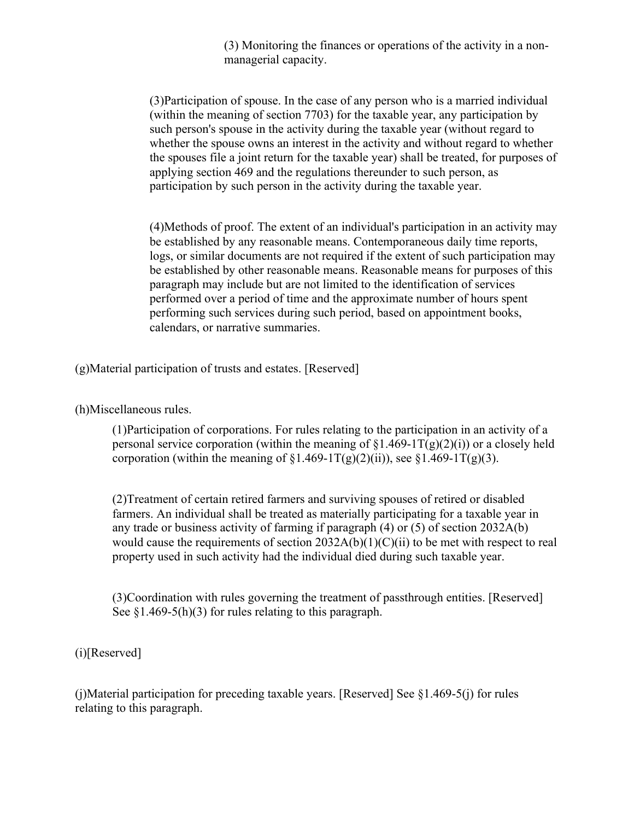(3) Monitoring the finances or operations of the activity in a nonmanagerial capacity.

(3)Participation of spouse. In the case of any person who is a married individual (within the meaning of section 7703) for the taxable year, any participation by such person's spouse in the activity during the taxable year (without regard to whether the spouse owns an interest in the activity and without regard to whether the spouses file a joint return for the taxable year) shall be treated, for purposes of applying section 469 and the regulations thereunder to such person, as participation by such person in the activity during the taxable year.

(4)Methods of proof. The extent of an individual's participation in an activity may be established by any reasonable means. Contemporaneous daily time reports, logs, or similar documents are not required if the extent of such participation may be established by other reasonable means. Reasonable means for purposes of this paragraph may include but are not limited to the identification of services performed over a period of time and the approximate number of hours spent performing such services during such period, based on appointment books, calendars, or narrative summaries.

(g)Material participation of trusts and estates. [Reserved]

(h)Miscellaneous rules.

(1)Participation of corporations. For rules relating to the participation in an activity of a personal service corporation (within the meaning of  $\S1.469-1T(g)(2)(i)$ ) or a closely held corporation (within the meaning of  $\S1.469-1T(g)(2)(ii)$ ), see  $\S1.469-1T(g)(3)$ .

(2)Treatment of certain retired farmers and surviving spouses of retired or disabled farmers. An individual shall be treated as materially participating for a taxable year in any trade or business activity of farming if paragraph (4) or (5) of section 2032A(b) would cause the requirements of section  $2032A(b)(1)(C)(ii)$  to be met with respect to real property used in such activity had the individual died during such taxable year.

(3)Coordination with rules governing the treatment of passthrough entities. [Reserved] See  $\S1.469-5(h)(3)$  for rules relating to this paragraph.

(i)[Reserved]

(j)Material participation for preceding taxable years. [Reserved] See §1.469-5(j) for rules relating to this paragraph.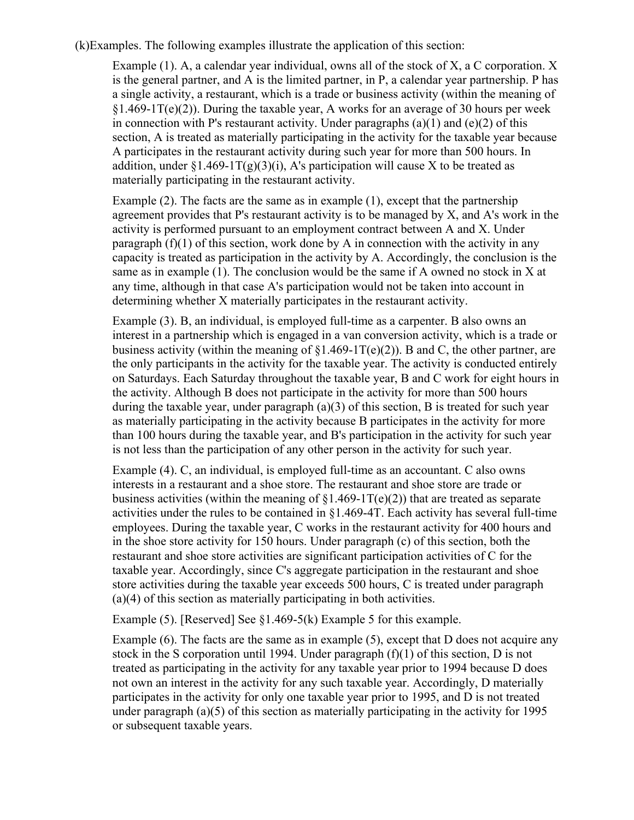(k)Examples. The following examples illustrate the application of this section:

Example (1). A, a calendar year individual, owns all of the stock of X, a C corporation. X is the general partner, and A is the limited partner, in P, a calendar year partnership. P has a single activity, a restaurant, which is a trade or business activity (within the meaning of  $§1.469-1T(e)(2)$ ). During the taxable year, A works for an average of 30 hours per week in connection with P's restaurant activity. Under paragraphs  $(a)(1)$  and  $(e)(2)$  of this section, A is treated as materially participating in the activity for the taxable year because A participates in the restaurant activity during such year for more than 500 hours. In addition, under  $\S1.469 - 1T(g)(3)(i)$ , A's participation will cause X to be treated as materially participating in the restaurant activity.

Example (2). The facts are the same as in example (1), except that the partnership agreement provides that P's restaurant activity is to be managed by X, and A's work in the activity is performed pursuant to an employment contract between A and X. Under paragraph  $(f)(1)$  of this section, work done by A in connection with the activity in any capacity is treated as participation in the activity by A. Accordingly, the conclusion is the same as in example (1). The conclusion would be the same if A owned no stock in X at any time, although in that case A's participation would not be taken into account in determining whether X materially participates in the restaurant activity.

Example (3). B, an individual, is employed full-time as a carpenter. B also owns an interest in a partnership which is engaged in a van conversion activity, which is a trade or business activity (within the meaning of  $\S1.469-1T(e)(2)$ ). B and C, the other partner, are the only participants in the activity for the taxable year. The activity is conducted entirely on Saturdays. Each Saturday throughout the taxable year, B and C work for eight hours in the activity. Although B does not participate in the activity for more than 500 hours during the taxable year, under paragraph (a)(3) of this section, B is treated for such year as materially participating in the activity because B participates in the activity for more than 100 hours during the taxable year, and B's participation in the activity for such year is not less than the participation of any other person in the activity for such year.

Example (4). C, an individual, is employed full-time as an accountant. C also owns interests in a restaurant and a shoe store. The restaurant and shoe store are trade or business activities (within the meaning of  $\S1.469-1T(e)(2)$ ) that are treated as separate activities under the rules to be contained in §1.469-4T. Each activity has several full-time employees. During the taxable year, C works in the restaurant activity for 400 hours and in the shoe store activity for 150 hours. Under paragraph (c) of this section, both the restaurant and shoe store activities are significant participation activities of C for the taxable year. Accordingly, since C's aggregate participation in the restaurant and shoe store activities during the taxable year exceeds 500 hours, C is treated under paragraph (a)(4) of this section as materially participating in both activities.

Example (5). [Reserved] See  $\S1.469-5(k)$  Example 5 for this example.

Example (6). The facts are the same as in example (5), except that D does not acquire any stock in the S corporation until 1994. Under paragraph (f)(1) of this section, D is not treated as participating in the activity for any taxable year prior to 1994 because D does not own an interest in the activity for any such taxable year. Accordingly, D materially participates in the activity for only one taxable year prior to 1995, and D is not treated under paragraph (a)(5) of this section as materially participating in the activity for 1995 or subsequent taxable years.